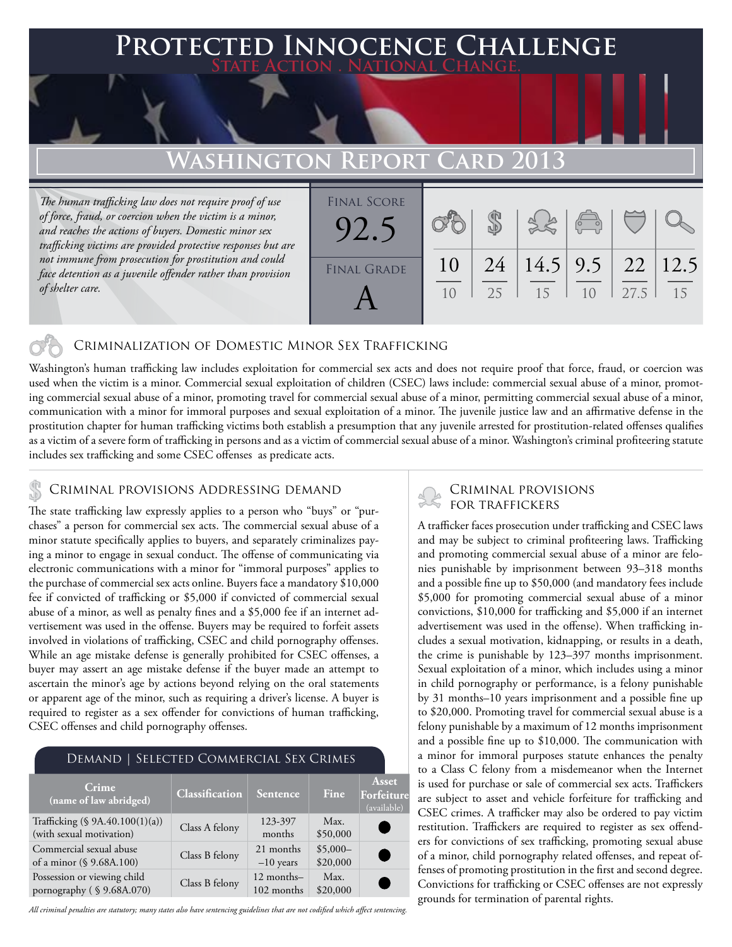### **PTED INNOCENCE CHALLENGE State Action . National Change. Washington Report Card 2013** *The human trafficking law does not require proof of use of force, fraud, or coercion when the victim is a minor, and reaches the actions of buyers. Domestic minor sex trafficking victims are provided protective responses but are*  \$ Final Score 92.5

10

25

15

 $1<sub>0</sub>$ 

27.5

15

12.5

22

9.5

14.5

24

10

### Criminalization of Domestic Minor Sex Trafficking

Washington's human trafficking law includes exploitation for commercial sex acts and does not require proof that force, fraud, or coercion was used when the victim is a minor. Commercial sexual exploitation of children (CSEC) laws include: commercial sexual abuse of a minor, promoting commercial sexual abuse of a minor, promoting travel for commercial sexual abuse of a minor, permitting commercial sexual abuse of a minor, communication with a minor for immoral purposes and sexual exploitation of a minor. The juvenile justice law and an affirmative defense in the prostitution chapter for human trafficking victims both establish a presumption that any juvenile arrested for prostitution-related offenses qualifies as a victim of a severe form of trafficking in persons and as a victim of commercial sexual abuse of a minor. Washington's criminal profiteering statute includes sex trafficking and some CSEC offenses as predicate acts.

FINAL GRADE

A

### CRIMINAL PROVISIONS ADDRESSING DEMAND

*not immune from prosecution for prostitution and could face detention as a juvenile offender rather than provision* 

*of shelter care.* 

The state trafficking law expressly applies to a person who "buys" or "purchases" a person for commercial sex acts. The commercial sexual abuse of a minor statute specifically applies to buyers, and separately criminalizes paying a minor to engage in sexual conduct. The offense of communicating via electronic communications with a minor for "immoral purposes" applies to the purchase of commercial sex acts online. Buyers face a mandatory \$10,000 fee if convicted of trafficking or \$5,000 if convicted of commercial sexual abuse of a minor, as well as penalty fines and a \$5,000 fee if an internet advertisement was used in the offense. Buyers may be required to forfeit assets involved in violations of trafficking, CSEC and child pornography offenses. While an age mistake defense is generally prohibited for CSEC offenses, a buyer may assert an age mistake defense if the buyer made an attempt to ascertain the minor's age by actions beyond relying on the oral statements or apparent age of the minor, such as requiring a driver's license. A buyer is required to register as a sex offender for convictions of human trafficking, CSEC offenses and child pornography offenses.

### Demand | Selected Commercial Sex Crimes

| Crime<br>$\sqrt{2}$ (name of law abridged)                  | Classification | Sentence                 | Fine                  | <b>Asset</b><br>Forfeiture<br>(available) |
|-------------------------------------------------------------|----------------|--------------------------|-----------------------|-------------------------------------------|
| Trafficking (§ 9A.40.100(1)(a))<br>(with sexual motivation) | Class A felony | 123-397<br>months        | Max.<br>\$50,000      |                                           |
| Commercial sexual abuse<br>of a minor (§ 9.68A.100)         | Class B felony | 21 months<br>$-10$ years | $$5,000-$<br>\$20,000 |                                           |
| Possession or viewing child<br>pornography (§9.68A.070)     | Class B felony | 12 months-<br>102 months | Max.<br>\$20,000      |                                           |

*All criminal penalties are statutory; many states also have sentencing guidelines that are not codified which affect sentencing.* 

# Criminal provisions

A trafficker faces prosecution under trafficking and CSEC laws and may be subject to criminal profiteering laws. Trafficking and promoting commercial sexual abuse of a minor are felonies punishable by imprisonment between 93–318 months and a possible fine up to \$50,000 (and mandatory fees include \$5,000 for promoting commercial sexual abuse of a minor convictions, \$10,000 for trafficking and \$5,000 if an internet advertisement was used in the offense). When trafficking includes a sexual motivation, kidnapping, or results in a death, the crime is punishable by 123–397 months imprisonment. Sexual exploitation of a minor, which includes using a minor in child pornography or performance, is a felony punishable by 31 months–10 years imprisonment and a possible fine up to \$20,000. Promoting travel for commercial sexual abuse is a felony punishable by a maximum of 12 months imprisonment and a possible fine up to \$10,000. The communication with a minor for immoral purposes statute enhances the penalty to a Class C felony from a misdemeanor when the Internet is used for purchase or sale of commercial sex acts. Traffickers are subject to asset and vehicle forfeiture for trafficking and CSEC crimes. A trafficker may also be ordered to pay victim restitution. Traffickers are required to register as sex offenders for convictions of sex trafficking, promoting sexual abuse of a minor, child pornography related offenses, and repeat offenses of promoting prostitution in the first and second degree. Convictions for trafficking or CSEC offenses are not expressly grounds for termination of parental rights.